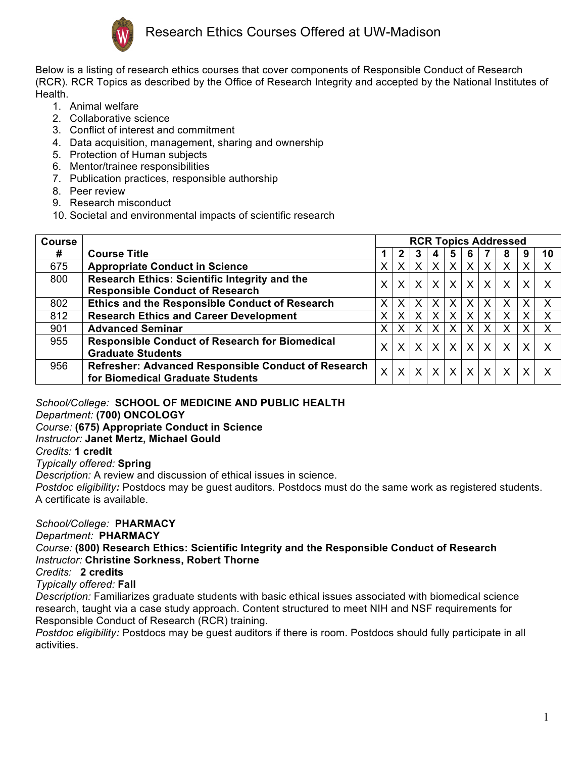

Below is a listing of research ethics courses that cover components of Responsible Conduct of Research (RCR). RCR Topics as described by the Office of Research Integrity and accepted by the National Institutes of Health.

- 1. Animal welfare
- 2. Collaborative science
- 3. Conflict of interest and commitment
- 4. Data acquisition, management, sharing and ownership
- 5. Protection of Human subjects
- 6. Mentor/trainee responsibilities
- 7. Publication practices, responsible authorship
- 8. Peer review
- 9. Research misconduct
- 10. Societal and environmental impacts of scientific research

| <b>Course</b> |                                                                                         | <b>RCR Topics Addressed</b> |   |          |                           |                |              |                   |              |              |    |  |
|---------------|-----------------------------------------------------------------------------------------|-----------------------------|---|----------|---------------------------|----------------|--------------|-------------------|--------------|--------------|----|--|
| #             | <b>Course Title</b>                                                                     |                             | 2 | 3        | 4                         | 5              | 6            |                   | 8            | 9            | 10 |  |
| 675           | <b>Appropriate Conduct in Science</b>                                                   | X.                          | X |          | $\boldsymbol{\mathsf{X}}$ | X              | X            | X                 | Х            | Х            |    |  |
| 800           | Research Ethics: Scientific Integrity and the<br><b>Responsible Conduct of Research</b> | X.                          | X | $\times$ | $\mathsf{X}^{\mathsf{T}}$ | X <sub>1</sub> | $\mathsf{X}$ | $\vert$ X $\vert$ | $\mathsf{X}$ | $\mathsf{X}$ |    |  |
| 802           | <b>Ethics and the Responsible Conduct of Research</b>                                   | X.                          | X |          | X                         | X              | X            | X                 | x            | X            | Х  |  |
| 812           | <b>Research Ethics and Career Development</b>                                           | X.                          | X |          | $\sf X$                   | X              | X            | X                 | Х            | X            | Χ  |  |
| 901           | <b>Advanced Seminar</b>                                                                 | X.                          | X |          | $\sf X$                   | X              | X            | X                 | X            | X            | X  |  |
| 955           | <b>Responsible Conduct of Research for Biomedical</b><br><b>Graduate Students</b>       | X.                          | X | $\sf X$  | $\mathsf{X}$              | $\times$       | $\mathsf{X}$ | $\mathsf{X}$      | $\sf X$      | X            |    |  |
| 956           | Refresher: Advanced Responsible Conduct of Research<br>for Biomedical Graduate Students | X                           | X | X        | $\mathsf{X}$              | $\mathsf{X}$   | $\mathsf{X}$ | $\mathsf{X}$      | $\sf X$      | X            |    |  |

*School/College:* **SCHOOL OF MEDICINE AND PUBLIC HEALTH**

*Department:* **(700) ONCOLOGY**

*Course:* **(675) Appropriate Conduct in Science**

*Instructor:* **Janet Mertz, Michael Gould**

*Credits:* **1 credit**

*Typically offered:* **Spring**

*Description:* A review and discussion of ethical issues in science.

*Postdoc eligibility:* Postdocs may be guest auditors. Postdocs must do the same work as registered students. A certificate is available.

*School/College:* **PHARMACY**

*Department:* **PHARMACY**

*Course:* **(800) Research Ethics: Scientific Integrity and the Responsible Conduct of Research** *Instructor:* **Christine Sorkness, Robert Thorne**

*Credits:* **2 credits**

*Typically offered:* **Fall**

*Description:* Familiarizes graduate students with basic ethical issues associated with biomedical science research, taught via a case study approach. Content structured to meet NIH and NSF requirements for Responsible Conduct of Research (RCR) training.

*Postdoc eligibility:* Postdocs may be guest auditors if there is room. Postdocs should fully participate in all activities.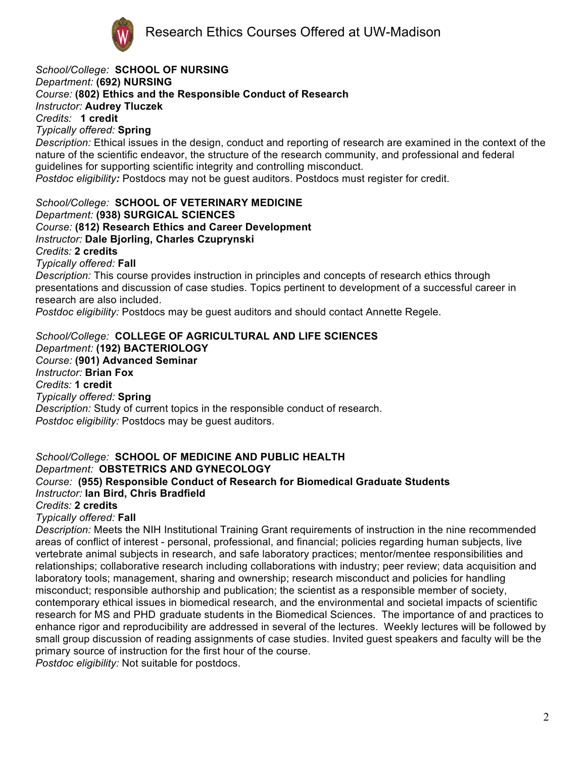

*School/College:* **SCHOOL OF NURSING** *Department:* **(692) NURSING** *Course:* **(802) Ethics and the Responsible Conduct of Research** *Instructor:* **Audrey Tluczek** *Credits:* **1 credit** *Typically offered:* **Spring** *Description:* Ethical issues in the design, conduct and reporting of research are examined in the context of the nature of the scientific endeavor, the structure of the research community, and professional and federal guidelines for supporting scientific integrity and controlling misconduct. *Postdoc eligibility:* Postdocs may not be guest auditors. Postdocs must register for credit. *School/College:* **SCHOOL OF VETERINARY MEDICINE** *Department:* **(938) SURGICAL SCIENCES** *Course:* **(812) Research Ethics and Career Development** *Instructor:* **Dale Bjorling, Charles Czuprynski** *Credits:* **2 credits** *Typically offered:* **Fall** *Description:* This course provides instruction in principles and concepts of research ethics through presentations and discussion of case studies. Topics pertinent to development of a successful career in research are also included.

*Postdoc eligibility:* Postdocs may be guest auditors and should contact Annette Regele.

*School/College:* **COLLEGE OF AGRICULTURAL AND LIFE SCIENCES** *Department:* **(192) BACTERIOLOGY** *Course:* **(901) Advanced Seminar** *Instructor:* **Brian Fox** *Credits:* **1 credit** *Typically offered:* **Spring** *Description:* Study of current topics in the responsible conduct of research. *Postdoc eligibility:* Postdocs may be guest auditors.

*School/College:* **SCHOOL OF MEDICINE AND PUBLIC HEALTH** *Department:* **OBSTETRICS AND GYNECOLOGY** *Course:* **(955) Responsible Conduct of Research for Biomedical Graduate Students** *Instructor:* **Ian Bird, Chris Bradfield** *Credits:* **2 credits** *Typically offered:* **Fall**

*Description:* Meets the NIH Institutional Training Grant requirements of instruction in the nine recommended areas of conflict of interest - personal, professional, and financial; policies regarding human subjects, live vertebrate animal subjects in research, and safe laboratory practices; mentor/mentee responsibilities and relationships; collaborative research including collaborations with industry; peer review; data acquisition and laboratory tools; management, sharing and ownership; research misconduct and policies for handling misconduct; responsible authorship and publication; the scientist as a responsible member of society, contemporary ethical issues in biomedical research, and the environmental and societal impacts of scientific research for MS and PHD graduate students in the Biomedical Sciences. The importance of and practices to enhance rigor and reproducibility are addressed in several of the lectures. Weekly lectures will be followed by small group discussion of reading assignments of case studies. Invited guest speakers and faculty will be the primary source of instruction for the first hour of the course.

*Postdoc eligibility:* Not suitable for postdocs.